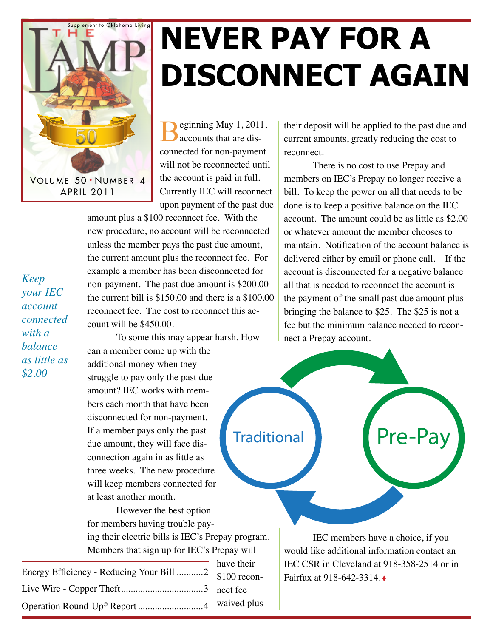

## **Never Pay for a disconnect again**

eginning May 1, 2011, accounts that are disconnected for non-payment will not be reconnected until the account is paid in full. Currently IEC will reconnect upon payment of the past due

amount plus a \$100 reconnect fee. With the new procedure, no account will be reconnected unless the member pays the past due amount, the current amount plus the reconnect fee. For example a member has been disconnected for non-payment. The past due amount is \$200.00 the current bill is \$150.00 and there is a \$100.00 reconnect fee. The cost to reconnect this account will be \$450.00.

To some this may appear harsh. How can a member come up with the additional money when they struggle to pay only the past due amount? IEC works with members each month that have been disconnected for non-payment. If a member pays only the past due amount, they will face disconnection again in as little as three weeks. The new procedure will keep members connected for at least another month.

However the best option for members having trouble paying their electric bills is IEC's Prepay program. Members that sign up for IEC's Prepay will

| Energy Efficiency - Reducing Your Bill 2 \$100 recon- | have their |
|-------------------------------------------------------|------------|
|                                                       |            |
|                                                       |            |
|                                                       |            |

their deposit will be applied to the past due and current amounts, greatly reducing the cost to reconnect.

There is no cost to use Prepay and members on IEC's Prepay no longer receive a bill. To keep the power on all that needs to be done is to keep a positive balance on the IEC account. The amount could be as little as \$2.00 or whatever amount the member chooses to maintain. Notification of the account balance is delivered either by email or phone call. If the account is disconnected for a negative balance all that is needed to reconnect the account is the payment of the small past due amount plus bringing the balance to \$25. The \$25 is not a fee but the minimum balance needed to reconnect a Prepay account.



IEC members have a choice, if you would like additional information contact an IEC CSR in Cleveland at 918-358-2514 or in Fairfax at 918-642-3314. ◊

*Keep your IEC account connected with a balance as little as \$2.00*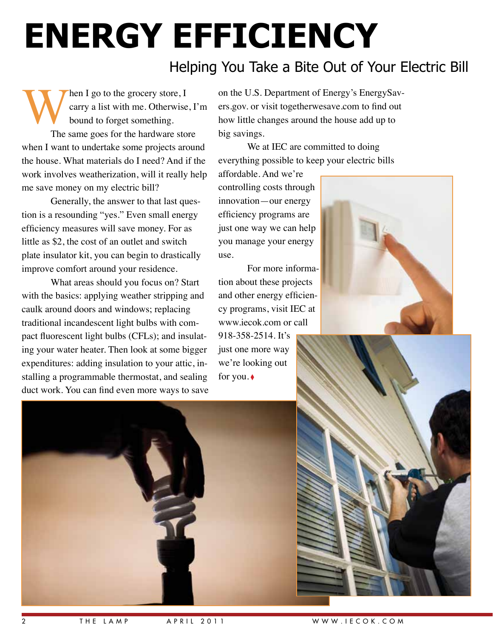# **Energy Efficiency**

#### Helping You Take a Bite Out of Your Electric Bill

When I go to the grocery store, I<br>carry a list with me. Otherwise<br>bound to forget something.<br>The same goes for the hardware stop carry a list with me. Otherwise, I'm bound to forget something. The same goes for the hardware store when I want to undertake some projects around the house. What materials do I need? And if the work involves weatherization, will it really help me save money on my electric bill?

Generally, the answer to that last question is a resounding "yes." Even small energy efficiency measures will save money. For as little as \$2, the cost of an outlet and switch plate insulator kit, you can begin to drastically improve comfort around your residence.

What areas should you focus on? Start with the basics: applying weather stripping and caulk around doors and windows; replacing traditional incandescent light bulbs with compact fluorescent light bulbs (CFLs); and insulating your water heater. Then look at some bigger expenditures: adding insulation to your attic, installing a programmable thermostat, and sealing duct work. You can find even more ways to save

on the U.S. Department of Energy's EnergySavers.gov. or visit togetherwesave.com to find out how little changes around the house add up to big savings.

We at IEC are committed to doing everything possible to keep your electric bills

affordable. And we're controlling costs through innovation—our energy efficiency programs are just one way we can help you manage your energy use.

For more information about these projects and other energy efficiency programs, visit IEC at www.iecok.com or call 918-358-2514. It's just one more way we're looking out

for you. ♦





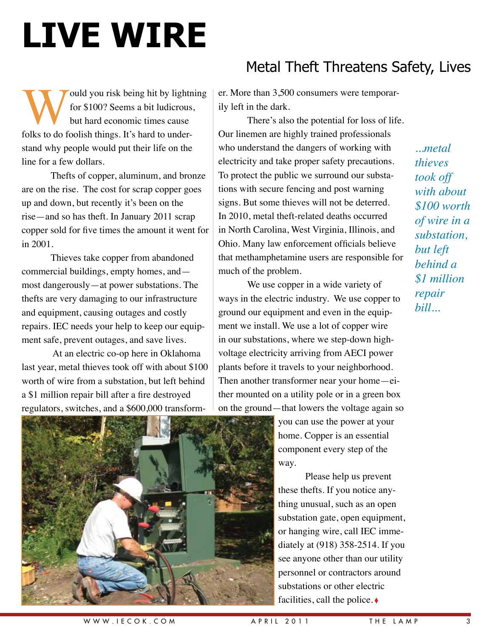# **LIVE WIRE**

ould you risk being hit by lightning for \$100? Seems a bit ludicrous, but hard economic times cause folks to do foolish things. It's hard to understand why people would put their life on the line for a few dollars.

Thefts of copper, aluminum, and bronze are on the rise. The cost for scrap copper goes up and down, but recently it's been on the rise—and so has theft. In January 2011 scrap copper sold for five times the amount it went for in 2001.

Thieves take copper from abandoned commercial buildings, empty homes, and most dangerously—at power substations. The thefts are very damaging to our infrastructure and equipment, causing outages and costly repairs. IEC needs your help to keep our equipment safe, prevent outages, and save lives.

 At an electric co-op here in Oklahoma last year, metal thieves took off with about \$100 worth of wire from a substation, but left behind a \$1 million repair bill after a fire destroyed regulators, switches, and a \$600,000 transform-

### Metal Theft Threatens Safety, Lives

er. More than 3,500 consumers were temporarily left in the dark.

There's also the potential for loss of life. Our linemen are highly trained professionals who understand the dangers of working with electricity and take proper safety precautions. To protect the public we surround our substations with secure fencing and post warning signs. But some thieves will not be deterred. In 2010, metal theft-related deaths occurred in North Carolina, West Virginia, Illinois, and Ohio. Many law enforcement officials believe that methamphetamine users are responsible for much of the problem.

We use copper in a wide variety of ways in the electric industry. We use copper to ground our equipment and even in the equipment we install. We use a lot of copper wire in our substations, where we step-down highvoltage electricity arriving from AECI power plants before it travels to your neighborhood. Then another transformer near your home—either mounted on a utility pole or in a green box on the ground—that lowers the voltage again so

> you can use the power at your home. Copper is an essential component every step of the way.

Please help us prevent these thefts. If you notice anything unusual, such as an open substation gate, open equipment, or hanging wire, call IEC immediately at (918) 358-2514. If you see anyone other than our utility personnel or contractors around substations or other electric facilities, call the police. ◊

*...metal thieves took off with about \$100 worth of wire in a substation, but left behind a \$1 million repair bill...*